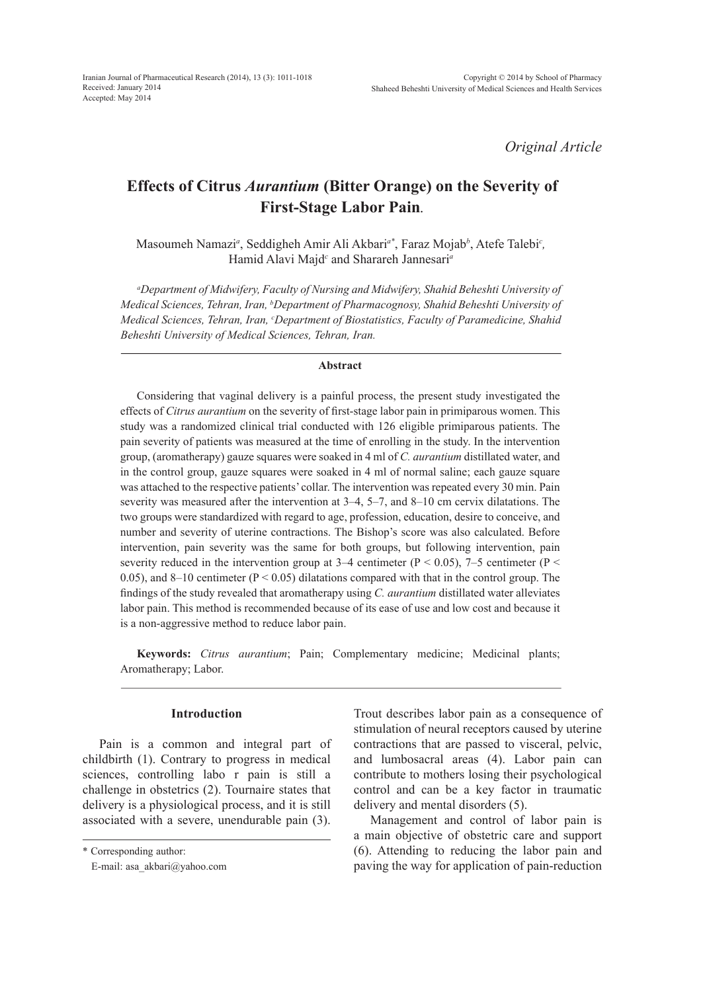*Original Article*

# **Effects of Citrus** *Aurantium* **(Bitter Orange) on the Severity of First-Stage Labor Pain***.*

Masoumeh Namazi*<sup>a</sup>* , Seddigheh Amir Ali Akbari*a\**, Faraz Mojab*<sup>b</sup>* , Atefe Talebi*<sup>c</sup> ,* Hamid Alavi Majd*<sup>c</sup>* and Sharareh Jannesari*<sup>a</sup>*

*a Department of Midwifery, Faculty of Nursing and Midwifery, Shahid Beheshti University of Medical Sciences, Tehran, Iran, b Department of Pharmacognosy, Shahid Beheshti University of Medical Sciences, Tehran, Iran, c Department of Biostatistics, Faculty of Paramedicine, Shahid Beheshti University of Medical Sciences, Tehran, Iran.*

#### **Abstract**

Considering that vaginal delivery is a painful process, the present study investigated the effects of *Citrus aurantium* on the severity of first-stage labor pain in primiparous women. This study was a randomized clinical trial conducted with 126 eligible primiparous patients. The pain severity of patients was measured at the time of enrolling in the study. In the intervention group, (aromatherapy) gauze squares were soaked in 4 ml of *C. aurantium* distillated water, and in the control group, gauze squares were soaked in 4 ml of normal saline; each gauze square was attached to the respective patients' collar. The intervention was repeated every 30 min. Pain severity was measured after the intervention at 3–4, 5–7, and 8–10 cm cervix dilatations. The two groups were standardized with regard to age, profession, education, desire to conceive, and number and severity of uterine contractions. The Bishop's score was also calculated. Before intervention, pain severity was the same for both groups, but following intervention, pain severity reduced in the intervention group at 3–4 centimeter ( $P < 0.05$ ), 7–5 centimeter ( $P <$ 0.05), and 8–10 centimeter ( $P < 0.05$ ) dilatations compared with that in the control group. The findings of the study revealed that aromatherapy using *C. aurantium* distillated water alleviates labor pain. This method is recommended because of its ease of use and low cost and because it is a non-aggressive method to reduce labor pain.

**Keywords:** *Citrus aurantium*; Pain; Complementary medicine; Medicinal plants; Aromatherapy; Labor.

# **Introduction**

Pain is a common and integral part of childbirth (1). Contrary to progress in medical sciences, controlling labo r pain is still a challenge in obstetrics (2). Tournaire states that delivery is a physiological process, and it is still associated with a severe, unendurable pain (3).

\* Corresponding author:

E-mail: asa\_akbari@yahoo.com

Trout describes labor pain as a consequence of stimulation of neural receptors caused by uterine contractions that are passed to visceral, pelvic, and lumbosacral areas (4). Labor pain can contribute to mothers losing their psychological control and can be a key factor in traumatic delivery and mental disorders (5).

Management and control of labor pain is a main objective of obstetric care and support (6). Attending to reducing the labor pain and paving the way for application of pain-reduction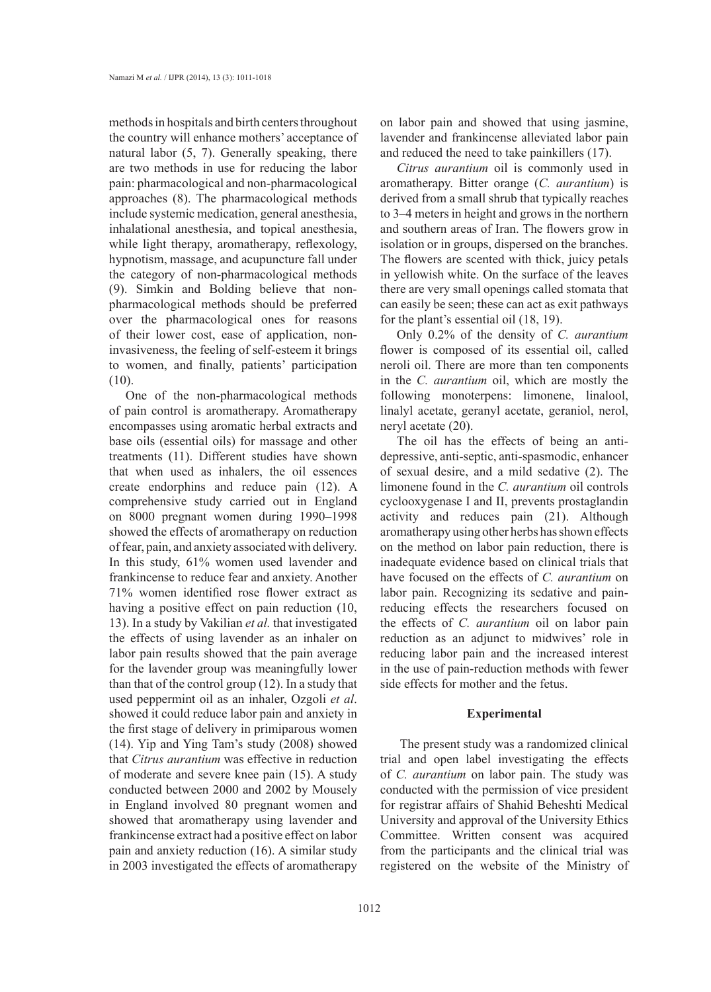methods in hospitals and birth centers throughout the country will enhance mothers' acceptance of natural labor (5, 7). Generally speaking, there are two methods in use for reducing the labor pain: pharmacological and non-pharmacological approaches (8). The pharmacological methods include systemic medication, general anesthesia, inhalational anesthesia, and topical anesthesia, while light therapy, aromatherapy, reflexology, hypnotism, massage, and acupuncture fall under the category of non-pharmacological methods (9). Simkin and Bolding believe that nonpharmacological methods should be preferred over the pharmacological ones for reasons of their lower cost, ease of application, noninvasiveness, the feeling of self-esteem it brings to women, and finally, patients' participation (10).

One of the non-pharmacological methods of pain control is aromatherapy. Aromatherapy encompasses using aromatic herbal extracts and base oils (essential oils) for massage and other treatments (11). Different studies have shown that when used as inhalers, the oil essences create endorphins and reduce pain (12). A comprehensive study carried out in England on 8000 pregnant women during 1990–1998 showed the effects of aromatherapy on reduction of fear, pain, and anxiety associated with delivery. In this study, 61% women used lavender and frankincense to reduce fear and anxiety. Another 71% women identified rose flower extract as having a positive effect on pain reduction (10, 13). In a study by Vakilian *et al.* that investigated the effects of using lavender as an inhaler on labor pain results showed that the pain average for the lavender group was meaningfully lower than that of the control group (12). In a study that used peppermint oil as an inhaler, Ozgoli *et al*. showed it could reduce labor pain and anxiety in the first stage of delivery in primiparous women (14). Yip and Ying Tam's study (2008) showed that *Citrus aurantium* was effective in reduction of moderate and severe knee pain (15). A study conducted between 2000 and 2002 by Mousely in England involved 80 pregnant women and showed that aromatherapy using lavender and frankincense extract had a positive effect on labor pain and anxiety reduction (16). A similar study in 2003 investigated the effects of aromatherapy

on labor pain and showed that using jasmine, lavender and frankincense alleviated labor pain and reduced the need to take painkillers (17).

*Citrus aurantium* oil is commonly used in aromatherapy. Bitter orange (*C. aurantium*) is derived from a small shrub that typically reaches to 3–4 meters in height and grows in the northern and southern areas of Iran. The flowers grow in isolation or in groups, dispersed on the branches. The flowers are scented with thick, juicy petals in yellowish white. On the surface of the leaves there are very small openings called stomata that can easily be seen; these can act as exit pathways for the plant's essential oil (18, 19).

Only 0.2% of the density of *C. aurantium* flower is composed of its essential oil, called neroli oil. There are more than ten components in the *C. aurantium* oil, which are mostly the following monoterpens: limonene, linalool, linalyl acetate, geranyl acetate, geraniol, nerol, neryl acetate (20).

The oil has the effects of being an antidepressive, anti-septic, anti-spasmodic, enhancer of sexual desire, and a mild sedative (2). The limonene found in the *C. aurantium* oil controls cyclooxygenase I and II, prevents prostaglandin activity and reduces pain (21). Although aromatherapy using other herbs has shown effects on the method on labor pain reduction, there is inadequate evidence based on clinical trials that have focused on the effects of *C. aurantium* on labor pain. Recognizing its sedative and painreducing effects the researchers focused on the effects of *C. aurantium* oil on labor pain reduction as an adjunct to midwives' role in reducing labor pain and the increased interest in the use of pain-reduction methods with fewer side effects for mother and the fetus.

#### **Experimental**

 The present study was a randomized clinical trial and open label investigating the effects of *C. aurantium* on labor pain. The study was conducted with the permission of vice president for registrar affairs of Shahid Beheshti Medical University and approval of the University Ethics Committee. Written consent was acquired from the participants and the clinical trial was registered on the website of the Ministry of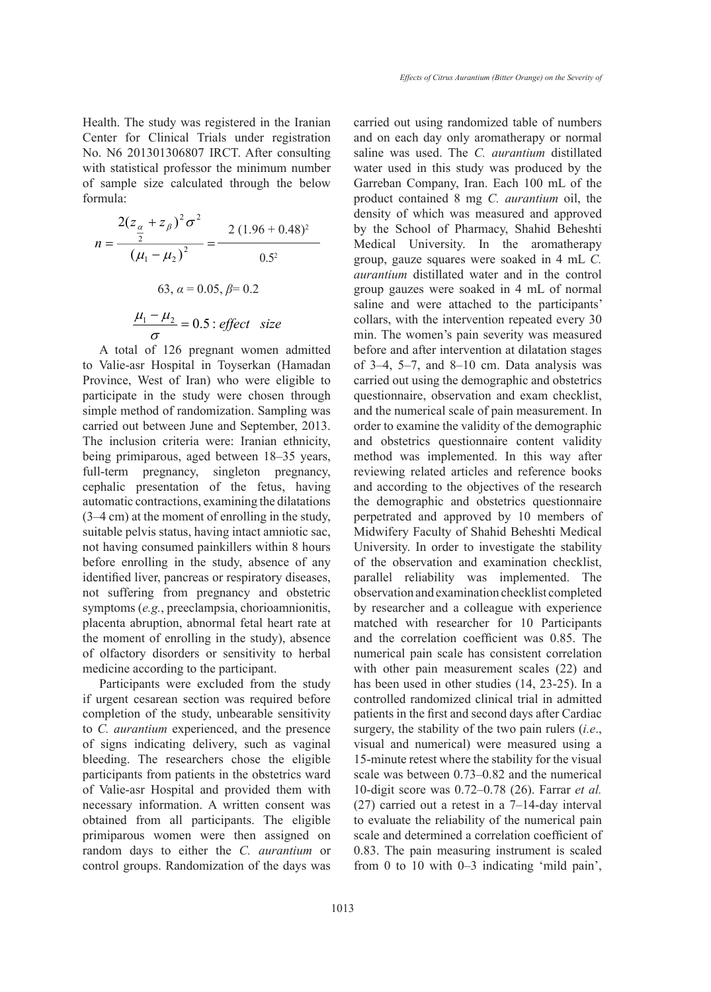Health. The study was registered in the Iranian Center for Clinical Trials under registration No. N6 201301306807 IRCT. After consulting with statistical professor the minimum number of sample size calculated through the below formula:

$$
n = \frac{2(z_{\alpha} + z_{\beta})^2 \sigma^2}{(\mu_1 - \mu_2)^2} = \frac{2 (1.96 + 0.48)^2}{0.5^2}
$$
 by the School of Pha  
Medical University.  
(63,  $\alpha = 0.05$ ,  $\beta = 0.2$   
 $\frac{\mu_1 - \mu_2}{\sigma} = 0.5$ : effect size  
with the interval is the interval.

A total of 126 pregnant women admitted to Valie-asr Hospital in Toyserkan (Hamadan Province, West of Iran) who were eligible to participate in the study were chosen through simple method of randomization. Sampling was carried out between June and September, 2013. The inclusion criteria were: Iranian ethnicity, being primiparous, aged between 18–35 years, full-term pregnancy, singleton pregnancy, cephalic presentation of the fetus, having automatic contractions, examining the dilatations (3–4 cm) at the moment of enrolling in the study, suitable pelvis status, having intact amniotic sac, not having consumed painkillers within 8 hours before enrolling in the study, absence of any identified liver, pancreas or respiratory diseases, not suffering from pregnancy and obstetric symptoms (*e.g.*, preeclampsia, chorioamnionitis, placenta abruption, abnormal fetal heart rate at the moment of enrolling in the study), absence of olfactory disorders or sensitivity to herbal medicine according to the participant.

Participants were excluded from the study if urgent cesarean section was required before completion of the study, unbearable sensitivity to *C. aurantium* experienced, and the presence of signs indicating delivery, such as vaginal bleeding. The researchers chose the eligible participants from patients in the obstetrics ward of Valie-asr Hospital and provided them with necessary information. A written consent was obtained from all participants. The eligible primiparous women were then assigned on random days to either the *C. aurantium* or control groups. Randomization of the days was

Medical Universi Medical University. In the aromatherapy roup, gauze squares were group, gauze squares were soaked in 4 mL *C*. carried out using randomized table of numbers and on each day only aromatherapy or normal saline was used. The *C. aurantium* distillated water used in this study was produced by the Garreban Company, Iran. Each 100 mL of the product contained 8 mg *C. aurantium* oil, the density of which was measured and approved by the School of Pharmacy, Shahid Beheshti *aurantium* distillated water and in the control group gauzes were soaked in 4 mL of normal saline and were attached to the participants' collars, with the intervention repeated every 30 min. The women's pain severity was measured before and after intervention at dilatation stages of 3–4, 5–7, and 8–10 cm. Data analysis was carried out using the demographic and obstetrics questionnaire, observation and exam checklist, and the numerical scale of pain measurement. In order to examine the validity of the demographic and obstetrics questionnaire content validity method was implemented. In this way after reviewing related articles and reference books and according to the objectives of the research the demographic and obstetrics questionnaire perpetrated and approved by 10 members of Midwifery Faculty of Shahid Beheshti Medical University. In order to investigate the stability of the observation and examination checklist, parallel reliability was implemented. The observation and examination checklist completed by researcher and a colleague with experience matched with researcher for 10 Participants and the correlation coefficient was 0.85. The numerical pain scale has consistent correlation with other pain measurement scales (22) and has been used in other studies (14, 23-25). In a controlled randomized clinical trial in admitted patients in the first and second days after Cardiac surgery, the stability of the two pain rulers (*i.e*., visual and numerical) were measured using a 15-minute retest where the stability for the visual scale was between 0.73–0.82 and the numerical 10-digit score was 0.72–0.78 (26). Farrar *et al.* (27) carried out a retest in a 7–14-day interval to evaluate the reliability of the numerical pain scale and determined a correlation coefficient of 0.83. The pain measuring instrument is scaled from 0 to 10 with 0–3 indicating 'mild pain',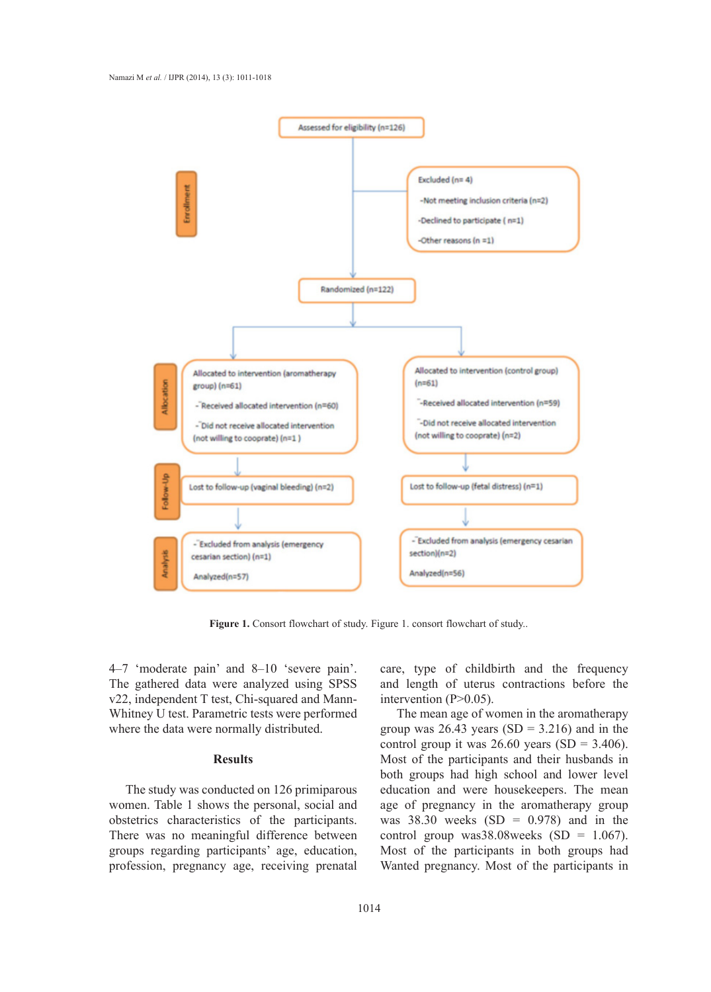

Figure 1. Consort flowchart of study. Figure 1. consort flowchart of study..

4–7 'moderate pain' and 8–10 'severe pain'. The gathered data were analyzed using SPSS v22, independent T test, Chi-squared and Mann-Whitney U test. Parametric tests were performed where the data were normally distributed.

# **Results**

The study was conducted on 126 primiparous women. Table 1 shows the personal, social and obstetrics characteristics of the participants. There was no meaningful difference between groups regarding participants' age, education, profession, pregnancy age, receiving prenatal

care, type of childbirth and the frequency and length of uterus contractions before the intervention  $(P>0.05)$ .

The mean age of women in the aromatherapy group was  $26.43$  years (SD = 3.216) and in the control group it was  $26.60$  years (SD = 3.406). Most of the participants and their husbands in both groups had high school and lower level education and were housekeepers. The mean age of pregnancy in the aromatherapy group was  $38.30$  weeks  $(SD = 0.978)$  and in the control group was38.08weeks  $(SD = 1.067)$ . Most of the participants in both groups had Wanted pregnancy. Most of the participants in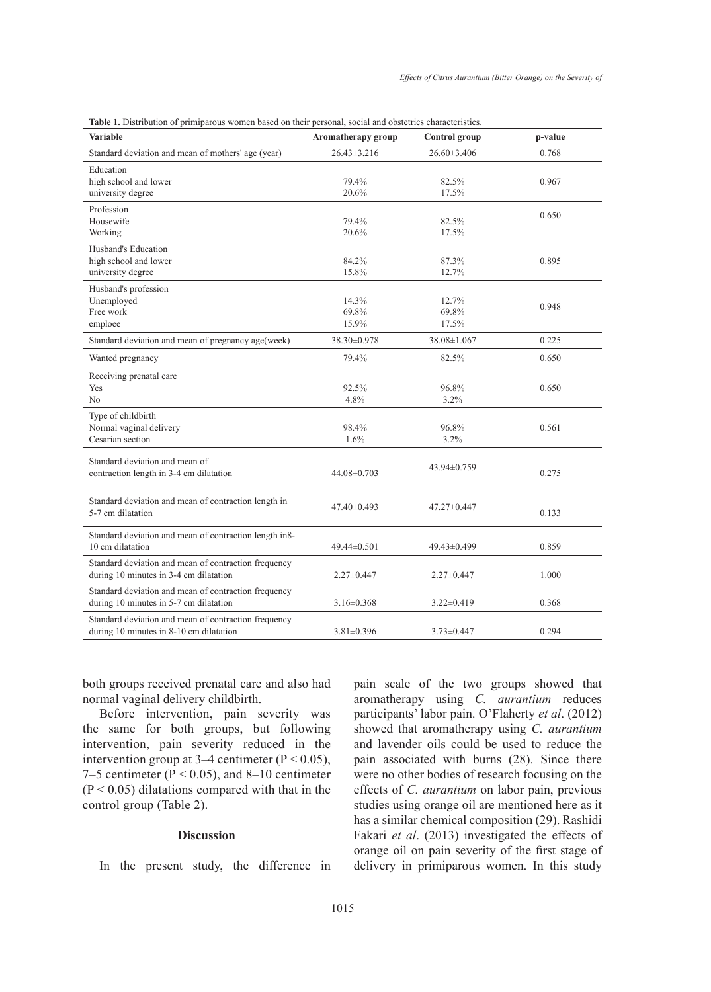| <b>Variable</b>                                                                                 | Aromatherapy group      | Control group           | p-value |
|-------------------------------------------------------------------------------------------------|-------------------------|-------------------------|---------|
| Standard deviation and mean of mothers' age (year)                                              | $26.43 \pm 3.216$       | $26.60 \pm 3.406$       | 0.768   |
| Education<br>high school and lower<br>university degree                                         | 79.4%<br>20.6%          | 82.5%<br>17.5%          | 0.967   |
| Profession<br>Housewife<br>Working                                                              | 79.4%<br>20.6%          | 82.5%<br>17.5%          | 0.650   |
| Husband's Education<br>high school and lower<br>university degree                               | 84.2%<br>15.8%          | 87.3%<br>12.7%          | 0.895   |
| Husband's profession<br>Unemployed<br>Free work<br>emploee                                      | 14.3%<br>69.8%<br>15.9% | 12.7%<br>69.8%<br>17.5% | 0.948   |
| Standard deviation and mean of pregnancy age(week)                                              | 38.30±0.978             | 38.08±1.067             | 0.225   |
| Wanted pregnancy                                                                                | 79.4%                   | 82.5%                   | 0.650   |
| Receiving prenatal care<br>Yes<br>N <sub>0</sub>                                                | 92.5%<br>4.8%           | 96.8%<br>3.2%           | 0.650   |
| Type of childbirth<br>Normal vaginal delivery<br>Cesarian section                               | 98.4%<br>1.6%           | 96.8%<br>3.2%           | 0.561   |
| Standard deviation and mean of<br>contraction length in 3-4 cm dilatation                       | 44.08±0.703             | 43.94±0.759             | 0.275   |
| Standard deviation and mean of contraction length in<br>5-7 cm dilatation                       | 47.40±0.493             | 47.27±0.447             | 0.133   |
| Standard deviation and mean of contraction length in8-<br>10 cm dilatation                      | 49.44±0.501             | 49.43±0.499             | 0.859   |
| Standard deviation and mean of contraction frequency<br>during 10 minutes in 3-4 cm dilatation  | $2.27 \pm 0.447$        | $2.27 \pm 0.447$        | 1.000   |
| Standard deviation and mean of contraction frequency<br>during 10 minutes in 5-7 cm dilatation  | $3.16 \pm 0.368$        | $3.22 \pm 0.419$        | 0.368   |
| Standard deviation and mean of contraction frequency<br>during 10 minutes in 8-10 cm dilatation | $3.81 \pm 0.396$        | $3.73 \pm 0.447$        | 0.294   |

both groups received prenatal care and also had normal vaginal delivery childbirth.

Before intervention, pain severity was the same for both groups, but following intervention, pain severity reduced in the intervention group at  $3-4$  centimeter (P < 0.05), 7–5 centimeter ( $P < 0.05$ ), and 8–10 centimeter  $(P < 0.05)$  dilatations compared with that in the control group (Table 2).

# **Discussion**

In the present study, the difference in

pain scale of the two groups showed that aromatherapy using *C. aurantium* reduces participants' labor pain. O'Flaherty *et al*. (2012) showed that aromatherapy using *C. aurantium* and lavender oils could be used to reduce the pain associated with burns (28). Since there were no other bodies of research focusing on the effects of *C. aurantium* on labor pain, previous studies using orange oil are mentioned here as it has a similar chemical composition (29). Rashidi Fakari *et al*. (2013) investigated the effects of orange oil on pain severity of the first stage of delivery in primiparous women. In this study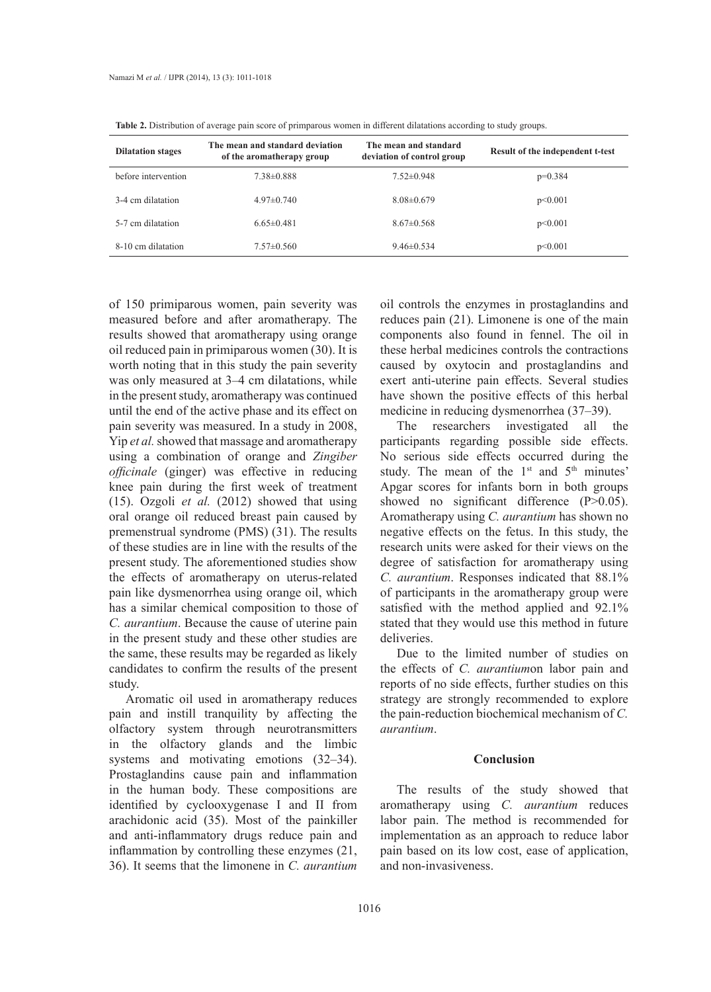| <b>Dilatation stages</b> | The mean and standard deviation<br>of the aromatherapy group | The mean and standard<br>deviation of control group | Result of the independent t-test |
|--------------------------|--------------------------------------------------------------|-----------------------------------------------------|----------------------------------|
| before intervention      | 7.38±0.888                                                   | $7.52\pm0.948$                                      | $p=0.384$                        |
| 3-4 cm dilatation        | $4.97\pm 0.740$                                              | $8.08\pm0.679$                                      | p<0.001                          |
| 5-7 cm dilatation        | $6.65\pm0.481$                                               | $8.67\pm0.568$                                      | p<0.001                          |
| 8-10 cm dilatation       | $7.57\pm0.560$                                               | $9.46\pm 0.534$                                     | p<0.001                          |

**Table 2.** Distribution of average pain score of primparous women in different dilatations according to study groups.

of 150 primiparous women, pain severity was measured before and after aromatherapy. The results showed that aromatherapy using orange oil reduced pain in primiparous women (30). It is worth noting that in this study the pain severity was only measured at 3–4 cm dilatations, while in the present study, aromatherapy was continued until the end of the active phase and its effect on pain severity was measured. In a study in 2008, Yip *et al.* showed that massage and aromatherapy using a combination of orange and *Zingiber officinale* (ginger) was effective in reducing knee pain during the first week of treatment (15). Ozgoli *et al.* (2012) showed that using oral orange oil reduced breast pain caused by premenstrual syndrome (PMS) (31). The results of these studies are in line with the results of the present study. The aforementioned studies show the effects of aromatherapy on uterus-related pain like dysmenorrhea using orange oil, which has a similar chemical composition to those of *C. aurantium*. Because the cause of uterine pain in the present study and these other studies are the same, these results may be regarded as likely candidates to confirm the results of the present study.

Aromatic oil used in aromatherapy reduces pain and instill tranquility by affecting the olfactory system through neurotransmitters in the olfactory glands and the limbic systems and motivating emotions (32–34). Prostaglandins cause pain and inflammation in the human body. These compositions are identified by cyclooxygenase I and II from arachidonic acid (35). Most of the painkiller and anti-inflammatory drugs reduce pain and inflammation by controlling these enzymes (21, 36). It seems that the limonene in *C. aurantium*

oil controls the enzymes in prostaglandins and reduces pain (21). Limonene is one of the main components also found in fennel. The oil in these herbal medicines controls the contractions caused by oxytocin and prostaglandins and exert anti-uterine pain effects. Several studies have shown the positive effects of this herbal medicine in reducing dysmenorrhea (37–39).

The researchers investigated all the participants regarding possible side effects. No serious side effects occurred during the study. The mean of the 1<sup>st</sup> and 5<sup>th</sup> minutes' Apgar scores for infants born in both groups showed no significant difference (P>0.05). Aromatherapy using *C. aurantium* has shown no negative effects on the fetus. In this study, the research units were asked for their views on the degree of satisfaction for aromatherapy using *C. aurantium*. Responses indicated that 88.1% of participants in the aromatherapy group were satisfied with the method applied and 92.1% stated that they would use this method in future deliveries.

Due to the limited number of studies on the effects of *C. aurantium*on labor pain and reports of no side effects, further studies on this strategy are strongly recommended to explore the pain-reduction biochemical mechanism of *C. aurantium*.

### **Conclusion**

The results of the study showed that aromatherapy using *C. aurantium* reduces labor pain. The method is recommended for implementation as an approach to reduce labor pain based on its low cost, ease of application, and non-invasiveness.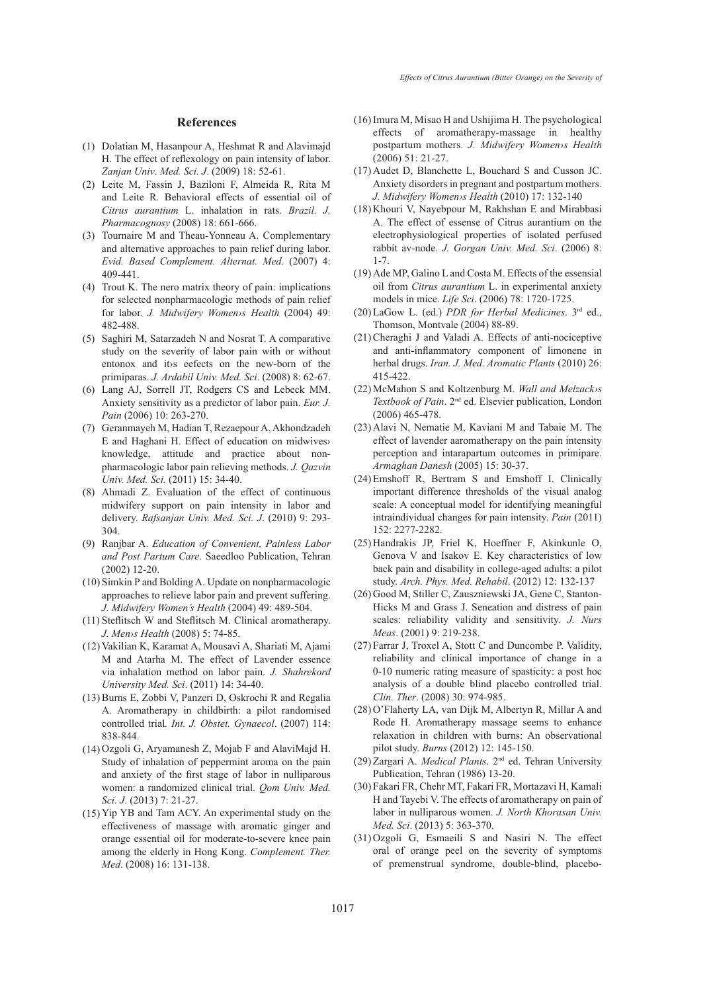#### **References**

- (1) Dolatian M, Hasanpour A, Heshmat R and Alavimajd H. The effect of reflexology on pain intensity of labor. *Zanjan Univ*. *Med. Sci. J*. (2009) 18: 52-61.
- Leite M, Fassin J, Baziloni F, Almeida R, Rita M (2) and Leite R. Behavioral effects of essential oil of *Citrus aurantium* L. inhalation in rats. *Brazil. J. Pharmacognosy* (2008) 18: 661-666.
- (3) Tournaire M and Theau-Yonneau A. Complementary and alternative approaches to pain relief during labor. *Evid. Based Complement. Alternat. Med*. (2007) 4: 409-441.
- $(4)$  Trout K. The nero matrix theory of pain: implications for selected nonpharmacologic methods of pain relief for labor. *J. Midwifery Women›s Health* (2004) 49: 482-488.
- $(5)$  Saghiri M, Satarzadeh N and Nosrat T. A comparative study on the severity of labor pain with or without entonox and it›s eefects on the new-born of the primiparas. *J. Ardabil Univ. Med. Sci*. (2008) 8: 62-67.
- Lang AJ, Sorrell JT, Rodgers CS and Lebeck MM. (6) Anxiety sensitivity as a predictor of labor pain. *Eur. J. Pain* (2006) 10: 263-270.
- Geranmayeh M, Hadian T, Rezaepour A, Akhondzadeh (7) E and Haghani H. Effect of education on midwives› knowledge, attitude and practice about nonpharmacologic labor pain relieving methods. *J. Qazvin Univ. Med. Sci.* (2011) 15: 34-40.
- Ahmadi Z. Evaluation of the effect of continuous (8) midwifery support on pain intensity in labor and delivery. *Rafsanjan Univ. Med. Sci. J*. (2010) 9: 293- 304.
- Ranjbar A. *Education of Convenient, Painless Labor*  (9) *and Post Partum Care*. Saeedloo Publication, Tehran (2002) 12-20.
- $(10)$  Simkin P and Bolding A. Update on nonpharmacologic approaches to relieve labor pain and prevent suffering. *J. Midwifery Women's Health* (2004) 49: 489-504.
- $(11)$  Steflitsch W and Steflitsch M. Clinical aromatherapy. *J. Men›s Health* (2008) 5: 74-85.
- Vakilian K, Karamat A, Mousavi A, Shariati M, Ajami (12) M and Atarha M. The effect of Lavender essence via inhalation method on labor pain. *J. Shahrekord University Med. Sci*. (2011) 14: 34-40.
- (13) Burns E, Zobbi V, Panzeri D, Oskrochi R and Regalia A. Aromatherapy in childbirth: a pilot randomised controlled trial*. Int. J. Obstet. Gynaecol*. (2007) 114: 838-844.
- $(14)$  Ozgoli G, Aryamanesh Z, Mojab F and AlaviMajd H. Study of inhalation of peppermint aroma on the pain and anxiety of the first stage of labor in nulliparous women: a randomized clinical trial. *Qom Univ. Med. Sci. J*. (2013) 7: 21-27.
- $(15)$  Yip YB and Tam ACY. An experimental study on the effectiveness of massage with aromatic ginger and orange essential oil for moderate-to-severe knee pain among the elderly in Hong Kong. *Complement. Ther. Med*. (2008) 16: 131-138.
- $(16)$  Imura M, Misao H and Ushijima H. The psychological effects of aromatherapy-massage in healthy postpartum mothers. *J. Midwifery Women›s Health* (2006) 51: 21-27.
- $(17)$  Audet D, Blanchette L, Bouchard S and Cusson JC. Anxiety disorders in pregnant and postpartum mothers. *J. Midwifery Women›s Health* (2010) 17: 132-140
- (18) Khouri V, Nayebpour M, Rakhshan E and Mirabbasi A. The effect of essense of Citrus aurantium on the electrophysiological properties of isolated perfused rabbit av-node. *J. Gorgan Univ. Med. Sci*. (2006) 8: 1-7.
- $(19)$  Ade MP, Galino L and Costa M. Effects of the essensial oil from *Citrus aurantium* L. in experimental anxiety models in mice. *Life Sci*. (2006) 78: 1720-1725.
- LaGow L. (ed.) *PDR for Herbal Medicines*. 3rd ed., (20) Thomson, Montvale (2004) 88-89.
- (21) Cheraghi J and Valadi A. Effects of anti-nociceptive and anti-inflammatory component of limonene in herbal drugs. *Iran. J. Med. Aromatic Plants* (2010) 26: 415-422.
- (22) McMahon S and Koltzenburg M. Wall and Melzack>s *Textbook of Pain*. 2nd ed. Elsevier publication, London (2006) 465-478.
- $(23)$  Alavi N, Nematie M, Kaviani M and Tabaie M. The effect of lavender aaromatherapy on the pain intensity perception and intarapartum outcomes in primipare. *Armaghan Danesh* (2005) 15: 30-37.
- (24) Emshoff R, Bertram S and Emshoff I. Clinically important difference thresholds of the visual analog scale: A conceptual model for identifying meaningful intraindividual changes for pain intensity. *Pain* (2011) 152: 2277-2282.
- (25) Handrakis JP, Friel K, Hoeffner F, Akinkunle O, Genova V and Isakov E. Key characteristics of low back pain and disability in college-aged adults: a pilot study. *Arch. Phys. Med. Rehabil*. (2012) 12: 132-137
- (26) Good M, Stiller C, Zauszniewski JA, Gene C, Stanton-Hicks M and Grass J. Seneation and distress of pain scales: reliability validity and sensitivity. *J. Nurs Meas*. (2001) 9: 219-238.
- Farrar J, Troxel A, Stott C and Duncombe P. Validity, (27) reliability and clinical importance of change in a 0-10 numeric rating measure of spasticity: a post hoc analysis of a double blind placebo controlled trial. *Clin. Ther*. (2008) 30: 974-985.
- (28) O'Flaherty LA, van Dijk M, Albertyn R, Millar A and Rode H. Aromatherapy massage seems to enhance relaxation in children with burns: An observational pilot study. *Burns* (2012) 12: 145-150.
- (29) Zargari A. *Medical Plants*. 2<sup>nd</sup> ed. Tehran University Publication, Tehran (1986) 13-20.
- Fakari FR, Chehr MT, Fakari FR, Mortazavi H, Kamali (30) H and Tayebi V. The effects of aromatherapy on pain of labor in nulliparous women. *J. North Khorasan Univ. Med. Sci*. (2013) 5: 363-370.
- $(31)$  Ozgoli G, Esmaeili S and Nasiri N. The effect oral of orange peel on the severity of symptoms of premenstrual syndrome, double-blind, placebo-